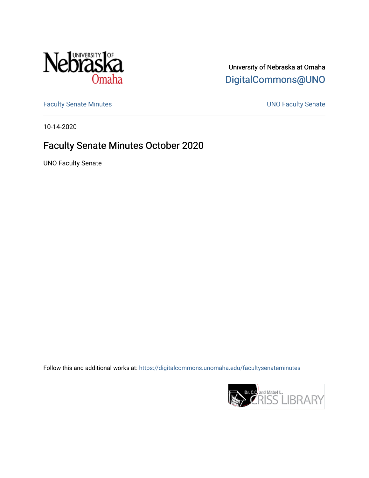

University of Nebraska at Omaha [DigitalCommons@UNO](https://digitalcommons.unomaha.edu/) 

[Faculty Senate Minutes](https://digitalcommons.unomaha.edu/facultysenateminutes) **Exercise Senate UNO Faculty Senate** 

10-14-2020

# Faculty Senate Minutes October 2020

UNO Faculty Senate

Follow this and additional works at: [https://digitalcommons.unomaha.edu/facultysenateminutes](https://digitalcommons.unomaha.edu/facultysenateminutes?utm_source=digitalcommons.unomaha.edu%2Ffacultysenateminutes%2F12&utm_medium=PDF&utm_campaign=PDFCoverPages) 

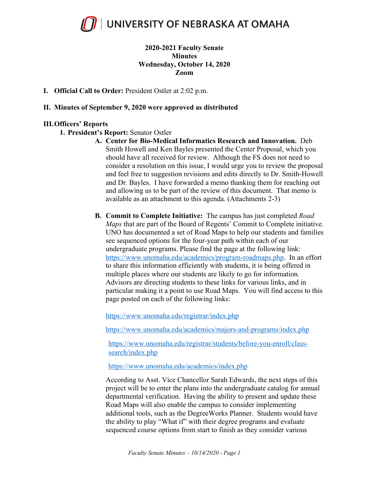

### **2020-2021 Faculty Senate Minutes Wednesday, October 14, 2020 Zoom**

**I. Official Call to Order:** President Ostler at 2:02 p.m.

#### **II. Minutes of September 9, 2020 were approved as distributed**

#### **III.Officers' Reports**

- **1. President's Report:** Senator Ostler
	- **A. Center for Bio-Medical Informatics Research and Innovation.** Deb Smith Howell and Ken Bayles presented the Center Proposal, which you should have all received for review. Although the FS does not need to consider a resolution on this issue, I would urge you to review the proposal and feel free to suggestion revisions and edits directly to Dr. Smith-Howell and Dr. Bayles. I have forwarded a memo thanking them for reaching out and allowing us to be part of the review of this document. That memo is available as an attachment to this agenda. (Attachments 2-3)
	- **B. Commit to Complete Initiative:** The campus has just completed *Road Maps* that are part of the Board of Regents' Commit to Complete initiative. UNO has documented a set of Road Maps to help our students and families see sequenced options for the four-year path within each of our undergraduate programs. Please find the page at the following link: https://www.unomaha.edu/academics/program-roadmaps.php. In an effort to share this information efficiently with students, it is being offered in multiple places where our students are likely to go for information. Advisors are directing students to these links for various links, and in particular making it a point to use Road Maps. You will find access to this page posted on each of the following links:

https://www.unomaha.edu/registrar/index.php

https://www.unomaha.edu/academics/majors-and-programs/index.php

https://www.unomaha.edu/registrar/students/before-you-enroll/classsearch/index.php

https://www.unomaha.edu/academics/index.php

According to Asst. Vice Chancellor Sarah Edwards, the next steps of this project will be to enter the plans into the undergraduate catalog for annual departmental verification. Having the ability to present and update these Road Maps will also enable the campus to consider implementing additional tools, such as the DegreeWorks Planner. Students would have the ability to play "What if" with their degree programs and evaluate sequenced course options from start to finish as they consider various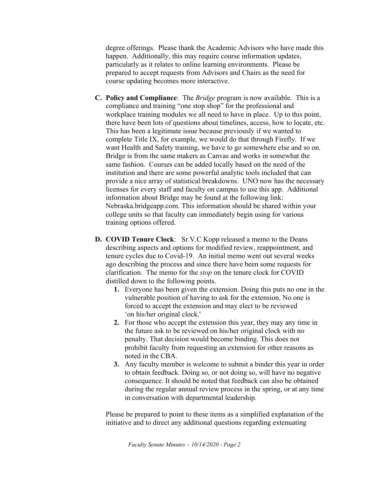degree offerings. Please thank the Academic Advisors who have made this happen. Additionally, this may require course information updates, particularly as it relates to online learning environments. Please be prepared to accept requests from Advisors and Chairs as the need for course updating becomes more interactive.

- **C. Policy and Compliance**: The *Bridge* program is now available. This is a compliance and training "one stop shop" for the professional and workplace training modules we all need to have in place. Up to this point, there have been lots of questions about timelines, access, how to locate, etc. This has been a legitimate issue because previously if we wanted to complete Title IX, for example, we would do that through Firefly. If we want Health and Safety training, we have to go somewhere else and so on. Bridge is from the same makers as Canvas and works in somewhat the same fashion. Courses can be added locally based on the need of the institution and there are some powerful analytic tools included that can provide a nice array of statistical breakdowns. UNO now has the necessary licenses for every staff and faculty on campus to use this app. Additional information about Bridge may be found at the following link: Nebraska.bridgeapp.com. This information should be shared within your college units so that faculty can immediately begin using for various training options offered.
- **D. COVID Tenure Clock**: Sr.V.C Kopp released a memo to the Deans describing aspects and options for modified review, reappointment, and tenure cycles due to Covid-19. An initial memo went out several weeks ago describing the process and since there have been some requests for clarification. The memo for the *stop* on the tenure clock for COVID distilled down to the following points.
	- **1.** Everyone has been given the extension. Doing this puts no one in the vulnerable position of having to ask for the extension. No one is forced to accept the extension and may elect to be reviewed 'on his/her original clock.'
	- **2.** For those who accept the extension this year, they may any time in the future ask to be reviewed on his/her original clock with no penalty. That decision would become binding. This does not prohibit faculty from requesting an extension for other reasons as noted in the CBA.
	- **3.** Any faculty member is welcome to submit a binder this year in order to obtain feedback. Doing so, or not doing so, will have no negative consequence. It should be noted that feedback can also be obtained during the regular annual review process in the spring, or at any time in conversation with departmental leadership.

Please be prepared to point to these items as a simplified explanation of the initiative and to direct any additional questions regarding extenuating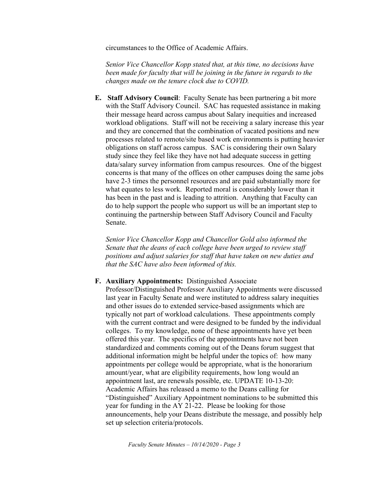circumstances to the Office of Academic Affairs.

*Senior Vice Chancellor Kopp stated that, at this time, no decisions have been made for faculty that will be joining in the future in regards to the changes made on the tenure clock due to COVID.*

**E. Staff Advisory Council**: Faculty Senate has been partnering a bit more with the Staff Advisory Council. SAC has requested assistance in making their message heard across campus about Salary inequities and increased workload obligations. Staff will not be receiving a salary increase this year and they are concerned that the combination of vacated positions and new processes related to remote/site based work environments is putting heavier obligations on staff across campus. SAC is considering their own Salary study since they feel like they have not had adequate success in getting data/salary survey information from campus resources. One of the biggest concerns is that many of the offices on other campuses doing the same jobs have 2-3 times the personnel resources and are paid substantially more for what equates to less work. Reported moral is considerably lower than it has been in the past and is leading to attrition. Anything that Faculty can do to help support the people who support us will be an important step to continuing the partnership between Staff Advisory Council and Faculty Senate.

*Senior Vice Chancellor Kopp and Chancellor Gold also informed the Senate that the deans of each college have been urged to review staff positions and adjust salaries for staff that have taken on new duties and that the SAC have also been informed of this.*

#### **F. Auxiliary Appointments:** Distinguished Associate

Professor/Distinguished Professor Auxiliary Appointments were discussed last year in Faculty Senate and were instituted to address salary inequities and other issues do to extended service-based assignments which are typically not part of workload calculations. These appointments comply with the current contract and were designed to be funded by the individual colleges. To my knowledge, none of these appointments have yet been offered this year. The specifics of the appointments have not been standardized and comments coming out of the Deans forum suggest that additional information might be helpful under the topics of: how many appointments per college would be appropriate, what is the honorarium amount/year, what are eligibility requirements, how long would an appointment last, are renewals possible, etc. UPDATE 10-13-20: Academic Affairs has released a memo to the Deans calling for "Distinguished" Auxiliary Appointment nominations to be submitted this year for funding in the AY 21-22. Please be looking for those announcements, help your Deans distribute the message, and possibly help set up selection criteria/protocols.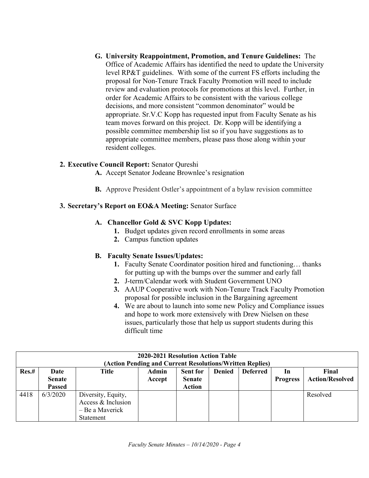**G. University Reappointment, Promotion, and Tenure Guidelines:** The Office of Academic Affairs has identified the need to update the University level RP&T guidelines. With some of the current FS efforts including the proposal for Non-Tenure Track Faculty Promotion will need to include review and evaluation protocols for promotions at this level. Further, in order for Academic Affairs to be consistent with the various college decisions, and more consistent "common denominator" would be appropriate. Sr.V.C Kopp has requested input from Faculty Senate as his team moves forward on this project. Dr. Kopp will be identifying a possible committee membership list so if you have suggestions as to appropriate committee members, please pass those along within your resident colleges.

### **2. Executive Council Report:** Senator Qureshi

- **A.** Accept Senator Jodeane Brownlee's resignation
- **B.** Approve President Ostler's appointment of a bylaw revision committee

### **3. Secretary's Report on EO&A Meeting:** Senator Surface

### **A. Chancellor Gold & SVC Kopp Updates:**

- **1.** Budget updates given record enrollments in some areas
- **2.** Campus function updates

### **B. Faculty Senate Issues/Updates:**

- **1.** Faculty Senate Coordinator position hired and functioning… thanks for putting up with the bumps over the summer and early fall
- **2.** J-term/Calendar work with Student Government UNO
- **3.** AAUP Cooperative work with Non-Tenure Track Faculty Promotion proposal for possible inclusion in the Bargaining agreement
- **4.** We are about to launch into some new Policy and Compliance issues and hope to work more extensively with Drew Nielsen on these issues, particularly those that help us support students during this difficult time

| 2020-2021 Resolution Action Table<br>(Action Pending and Current Resolutions/Written Replies) |                                        |                                                                          |                 |                                                   |               |                 |                       |                                 |  |  |  |
|-----------------------------------------------------------------------------------------------|----------------------------------------|--------------------------------------------------------------------------|-----------------|---------------------------------------------------|---------------|-----------------|-----------------------|---------------------------------|--|--|--|
| Res.#                                                                                         | Date<br><b>Senate</b><br><b>Passed</b> | Title                                                                    | Admin<br>Accept | <b>Sent for</b><br><b>Senate</b><br><b>Action</b> | <b>Denied</b> | <b>Deferred</b> | In<br><b>Progress</b> | Final<br><b>Action/Resolved</b> |  |  |  |
| 4418                                                                                          | 6/3/2020                               | Diversity, Equity,<br>Access & Inclusion<br>- Be a Maverick<br>Statement |                 |                                                   |               |                 |                       | Resolved                        |  |  |  |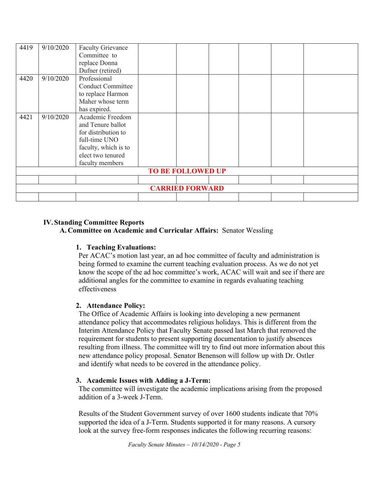| 4419                     | 9/10/2020 | <b>Faculty Grievance</b> |  |  |  |  |  |  |  |
|--------------------------|-----------|--------------------------|--|--|--|--|--|--|--|
|                          |           | Committee to             |  |  |  |  |  |  |  |
|                          |           | replace Donna            |  |  |  |  |  |  |  |
|                          |           | Dufner (retired)         |  |  |  |  |  |  |  |
| 4420                     | 9/10/2020 | Professional             |  |  |  |  |  |  |  |
|                          |           | <b>Conduct Committee</b> |  |  |  |  |  |  |  |
|                          |           | to replace Harmon        |  |  |  |  |  |  |  |
|                          |           | Maher whose term         |  |  |  |  |  |  |  |
|                          |           | has expired.             |  |  |  |  |  |  |  |
| 4421                     | 9/10/2020 | Academic Freedom         |  |  |  |  |  |  |  |
|                          |           | and Tenure ballot        |  |  |  |  |  |  |  |
|                          |           | for distribution to      |  |  |  |  |  |  |  |
|                          |           | full-time UNO            |  |  |  |  |  |  |  |
|                          |           | faculty, which is to     |  |  |  |  |  |  |  |
|                          |           | elect two tenured        |  |  |  |  |  |  |  |
|                          |           | faculty members          |  |  |  |  |  |  |  |
| <b>TO BE FOLLOWED UP</b> |           |                          |  |  |  |  |  |  |  |
|                          |           |                          |  |  |  |  |  |  |  |
| <b>CARRIED FORWARD</b>   |           |                          |  |  |  |  |  |  |  |
|                          |           |                          |  |  |  |  |  |  |  |

### **IV.Standing Committee Reports**

**A. Committee on Academic and Curricular Affairs:** Senator Wessling

### **1. Teaching Evaluations:**

Per ACAC's motion last year, an ad hoc committee of faculty and administration is being formed to examine the current teaching evaluation process. As we do not yet know the scope of the ad hoc committee's work, ACAC will wait and see if there are additional angles for the committee to examine in regards evaluating teaching effectiveness

# **2. Attendance Policy:**

The Office of Academic Affairs is looking into developing a new permanent attendance policy that accommodates religious holidays. This is different from the Interim Attendance Policy that Faculty Senate passed last March that removed the requirement for students to present supporting documentation to justify absences resulting from illness. The committee will try to find out more information about this new attendance policy proposal. Senator Benenson will follow up with Dr. Ostler and identify what needs to be covered in the attendance policy.

### **3. Academic Issues with Adding a J-Term:**

The committee will investigate the academic implications arising from the proposed addition of a 3-week J-Term.

Results of the Student Government survey of over 1600 students indicate that 70% supported the idea of a J-Term. Students supported it for many reasons. A cursory look at the survey free-form responses indicates the following recurring reasons: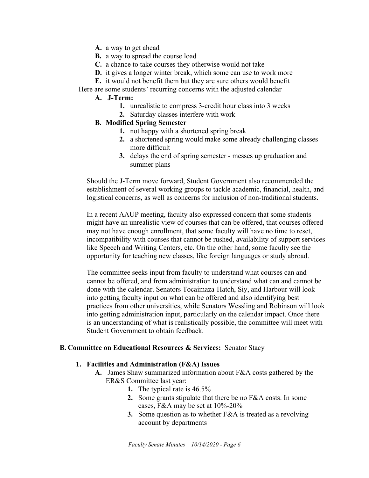- **A.** a way to get ahead
- **B.** a way to spread the course load
- **C.** a chance to take courses they otherwise would not take
- **D.** it gives a longer winter break, which some can use to work more
- **E.** it would not benefit them but they are sure others would benefit
- Here are some students' recurring concerns with the adjusted calendar

### **A. J-Term:**

- **1.** unrealistic to compress 3-credit hour class into 3 weeks
- **2.** Saturday classes interfere with work

### **B. Modified Spring Semester**

- **1.** not happy with a shortened spring break
- **2.** a shortened spring would make some already challenging classes more difficult
- **3.** delays the end of spring semester messes up graduation and summer plans

Should the J-Term move forward, Student Government also recommended the establishment of several working groups to tackle academic, financial, health, and logistical concerns, as well as concerns for inclusion of non-traditional students.

In a recent AAUP meeting, faculty also expressed concern that some students might have an unrealistic view of courses that can be offered, that courses offered may not have enough enrollment, that some faculty will have no time to reset, incompatibility with courses that cannot be rushed, availability of support services like Speech and Writing Centers, etc. On the other hand, some faculty see the opportunity for teaching new classes, like foreign languages or study abroad.

The committee seeks input from faculty to understand what courses can and cannot be offered, and from administration to understand what can and cannot be done with the calendar. Senators Tocaimaza-Hatch, Siy, and Harbour will look into getting faculty input on what can be offered and also identifying best practices from other universities, while Senators Wessling and Robinson will look into getting administration input, particularly on the calendar impact. Once there is an understanding of what is realistically possible, the committee will meet with Student Government to obtain feedback.

### **B. Committee on Educational Resources & Services:** Senator Stacy

### **1. Facilities and Administration (F&A) Issues**

- **A.** James Shaw summarized information about F&A costs gathered by the ER&S Committee last year:
	- **1.** The typical rate is 46.5%
	- **2.** Some grants stipulate that there be no F&A costs. In some cases, F&A may be set at 10%-20%
	- **3.** Some question as to whether F&A is treated as a revolving account by departments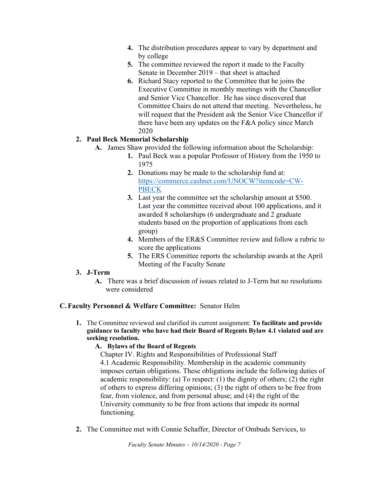- **4.** The distribution procedures appear to vary by department and by college
- **5.** The committee reviewed the report it made to the Faculty Senate in December 2019 – that sheet is attached
- **6.** Richard Stacy reported to the Committee that he joins the Executive Committee in monthly meetings with the Chancellor and Senior Vice Chancellor. He has since discovered that Committee Chairs do not attend that meeting. Nevertheless, he will request that the President ask the Senior Vice Chancellor if there have been any updates on the F&A policy since March 2020

# **2. Paul Beck Memorial Scholarship**

- **A.** James Shaw provided the following information about the Scholarship:
	- **1.** Paul Beck was a popular Professor of History from the 1950 to 1975
	- **2.** Donations may be made to the scholarship fund at: https://commerce.cashnet.com/UNOCW?itemcode=CW-**PBECK**
	- **3.** Last year the committee set the scholarship amount at \$500. Last year the committee received about 100 applications, and it awarded 8 scholarships (6 undergraduate and 2 graduate students based on the proportion of applications from each group)
	- **4.** Members of the ER&S Committee review and follow a rubric to score the applications
	- **5.** The ERS Committee reports the scholarship awards at the April Meeting of the Faculty Senate

# **3. J-Term**

**A.** There was a brief discussion of issues related to J-Term but no resolutions were considered

# **C. Faculty Personnel & Welfare Committee:** Senator Helm

**1.** The Committee reviewed and clarified its current assignment: **To facilitate and provide guidance to faculty who have had their Board of Regents Bylaw 4.1 violated and are seeking resolution.**

# **A. Bylaws of the Board of Regents**

Chapter IV. Rights and Responsibilities of Professional Staff 4.1 Academic Responsibility. Membership in the academic community imposes certain obligations. These obligations include the following duties of academic responsibility: (a) To respect: (1) the dignity of others; (2) the right of others to express differing opinions; (3) the right of others to be free from fear, from violence, and from personal abuse; and (4) the right of the University community to be free from actions that impede its normal functioning.

**2.** The Committee met with Connie Schaffer, Director of Ombuds Services, to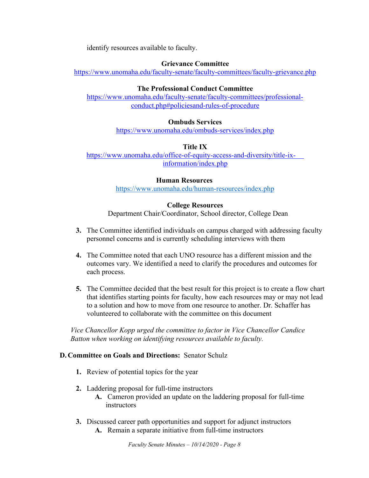identify resources available to faculty.

### **Grievance Committee**

https://www.unomaha.edu/faculty-senate/faculty-committees/faculty-grievance.php

### **The Professional Conduct Committee**

https://www.unomaha.edu/faculty-senate/faculty-committees/professionalconduct.php#policiesand-rules-of-procedure

### **Ombuds Services**

https://www.unomaha.edu/ombuds-services/index.php

### **Title IX**

https://www.unomaha.edu/office-of-equity-access-and-diversity/title-ixinformation/index.php

### **Human Resources**

https://www.unomaha.edu/human-resources/index.php

### **College Resources**

Department Chair/Coordinator, School director, College Dean

- **3.** The Committee identified individuals on campus charged with addressing faculty personnel concerns and is currently scheduling interviews with them
- **4.** The Committee noted that each UNO resource has a different mission and the outcomes vary. We identified a need to clarify the procedures and outcomes for each process.
- **5.** The Committee decided that the best result for this project is to create a flow chart that identifies starting points for faculty, how each resources may or may not lead to a solution and how to move from one resource to another. Dr. Schaffer has volunteered to collaborate with the committee on this document

*Vice Chancellor Kopp urged the committee to factor in Vice Chancellor Candice Batton when working on identifying resources available to faculty.* 

### **D. Committee on Goals and Directions:** Senator Schulz

- **1.** Review of potential topics for the year
- **2.** Laddering proposal for full-time instructors
	- **A.** Cameron provided an update on the laddering proposal for full-time instructors
- **3.** Discussed career path opportunities and support for adjunct instructors
	- **A.** Remain a separate initiative from full-time instructors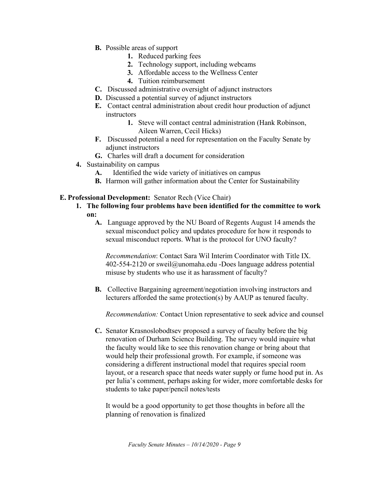- **B.** Possible areas of support
	- **1.** Reduced parking fees
	- **2.** Technology support, including webcams
	- **3.** Affordable access to the Wellness Center
	- **4.** Tuition reimbursement
- **C.** Discussed administrative oversight of adjunct instructors
- **D.** Discussed a potential survey of adjunct instructors
- **E.** Contact central administration about credit hour production of adjunct instructors
	- **1.** Steve will contact central administration (Hank Robinson, Aileen Warren, Cecil Hicks)
- **F.** Discussed potential a need for representation on the Faculty Senate by adjunct instructors
- **G.** Charles will draft a document for consideration
- **4.** Sustainability on campus
	- **A.** Identified the wide variety of initiatives on campus
	- **B.** Harmon will gather information about the Center for Sustainability
- **E. Professional Development:** Senator Rech (Vice Chair)
	- **1. The following four problems have been identified for the committee to work on:**
		- **A.** Language approved by the NU Board of Regents August 14 amends the sexual misconduct policy and updates procedure for how it responds to sexual misconduct reports. What is the protocol for UNO faculty?

*Recommendation*: Contact Sara Wil Interim Coordinator with Title IX. 402-554-2120 or sweil@unomaha.edu -Does language address potential misuse by students who use it as harassment of faculty?

**B.** Collective Bargaining agreement/negotiation involving instructors and lecturers afforded the same protection(s) by AAUP as tenured faculty.

*Recommendation:* Contact Union representative to seek advice and counsel

**C.** Senator Krasnoslobodtsev proposed a survey of faculty before the big renovation of Durham Science Building. The survey would inquire what the faculty would like to see this renovation change or bring about that would help their professional growth. For example, if someone was considering a different instructional model that requires special room layout, or a research space that needs water supply or fume hood put in. As per Iulia's comment, perhaps asking for wider, more comfortable desks for students to take paper/pencil notes/tests

It would be a good opportunity to get those thoughts in before all the planning of renovation is finalized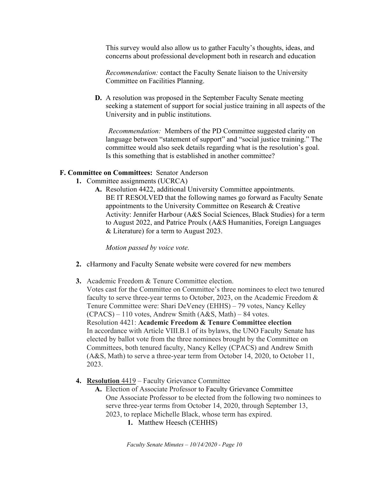This survey would also allow us to gather Faculty's thoughts, ideas, and concerns about professional development both in research and education

*Recommendation:* contact the Faculty Senate liaison to the University Committee on Facilities Planning.

**D.** A resolution was proposed in the September Faculty Senate meeting seeking a statement of support for social justice training in all aspects of the University and in public institutions.

*Recommendation:* Members of the PD Committee suggested clarity on language between "statement of support" and "social justice training." The committee would also seek details regarding what is the resolution's goal. Is this something that is established in another committee?

### **F. Committee on Committees:** Senator Anderson

- **1.** Committee assignments (UCRCA)
	- **A.** Resolution 4422, additional University Committee appointments. BE IT RESOLVED that the following names go forward as Faculty Senate appointments to the University Committee on Research & Creative Activity: Jennifer Harbour (A&S Social Sciences, Black Studies) for a term to August 2022, and Patrice Proulx (A&S Humanities, Foreign Languages & Literature) for a term to August 2023.

*Motion passed by voice vote.*

- **2.** cHarmony and Faculty Senate website were covered for new members
- **3.** Academic Freedom & Tenure Committee election. Votes cast for the Committee on Committee's three nominees to elect two tenured faculty to serve three-year terms to October, 2023, on the Academic Freedom & Tenure Committee were: Shari DeVeney (EHHS) – 79 votes, Nancy Kelley  $(CPACS) - 110$  votes, Andrew Smith  $(A&S, Math) - 84$  votes. Resolution 4421: **Academic Freedom & Tenure Committee election** In accordance with Article VIII.B.1 of its bylaws, the UNO Faculty Senate has elected by ballot vote from the three nominees brought by the Committee on Committees, both tenured faculty, Nancy Kelley (CPACS) and Andrew Smith (A&S, Math) to serve a three-year term from October 14, 2020, to October 11, 2023.
- **4. Resolution** 4419 Faculty Grievance Committee
	- **A.** Election of Associate Professor to Faculty Grievance Committee One Associate Professor to be elected from the following two nominees to serve three-year terms from October 14, 2020, through September 13, 2023, to replace Michelle Black, whose term has expired.
		- **1.** Matthew Heesch (CEHHS)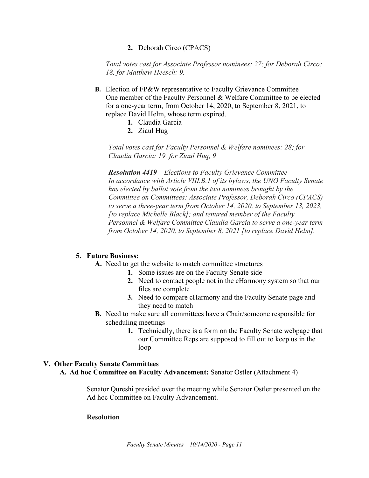**2.** Deborah Circo (CPACS)

*Total votes cast for Associate Professor nominees: 27; for Deborah Circo: 18, for Matthew Heesch: 9.*

- **B.** Election of FP&W representative to Faculty Grievance Committee One member of the Faculty Personnel & Welfare Committee to be elected for a one-year term, from October 14, 2020, to September 8, 2021, to replace David Helm, whose term expired.
	- **1.** Claudia Garcia
	- **2.** Ziaul Hug

*Total votes cast for Faculty Personnel & Welfare nominees: 28; for Claudia Garcia: 19, for Ziaul Huq, 9*

*Resolution 4419 – Elections to Faculty Grievance Committee In accordance with Article VIII.B.1 of its bylaws, the UNO Faculty Senate has elected by ballot vote from the two nominees brought by the Committee on Committees: Associate Professor, Deborah Circo (CPACS) to serve a three-year term from October 14, 2020, to September 13, 2023, [to replace Michelle Black]; and tenured member of the Faculty Personnel & Welfare Committee Claudia Garcia to serve a one-year term from October 14, 2020, to September 8, 2021 [to replace David Helm].*

### **5. Future Business:**

- **A.** Need to get the website to match committee structures
	- **1.** Some issues are on the Faculty Senate side
	- **2.** Need to contact people not in the cHarmony system so that our files are complete
	- **3.** Need to compare cHarmony and the Faculty Senate page and they need to match
- **B.** Need to make sure all committees have a Chair/someone responsible for scheduling meetings
	- **1.** Technically, there is a form on the Faculty Senate webpage that our Committee Reps are supposed to fill out to keep us in the loop

### **V. Other Faculty Senate Committees**

**A. Ad hoc Committee on Faculty Advancement:** Senator Ostler (Attachment 4)

Senator Qureshi presided over the meeting while Senator Ostler presented on the Ad hoc Committee on Faculty Advancement.

#### **Resolution**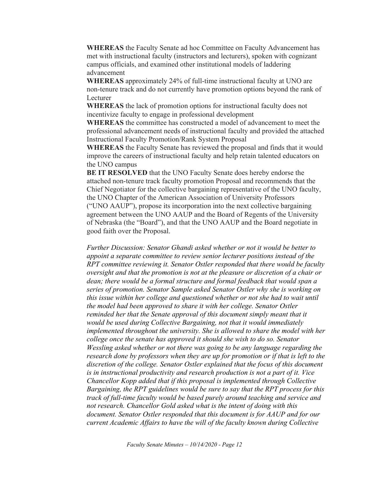**WHEREAS** the Faculty Senate ad hoc Committee on Faculty Advancement has met with instructional faculty (instructors and lecturers), spoken with cognizant campus officials, and examined other institutional models of laddering advancement

**WHEREAS** approximately 24% of full-time instructional faculty at UNO are non-tenure track and do not currently have promotion options beyond the rank of Lecturer

**WHEREAS** the lack of promotion options for instructional faculty does not incentivize faculty to engage in professional development

**WHEREAS** the committee has constructed a model of advancement to meet the professional advancement needs of instructional faculty and provided the attached Instructional Faculty Promotion/Rank System Proposal

**WHEREAS** the Faculty Senate has reviewed the proposal and finds that it would improve the careers of instructional faculty and help retain talented educators on the UNO campus

**BE IT RESOLVED** that the UNO Faculty Senate does hereby endorse the attached non-tenure track faculty promotion Proposal and recommends that the Chief Negotiator for the collective bargaining representative of the UNO faculty, the UNO Chapter of the American Association of University Professors ("UNO AAUP"), propose its incorporation into the next collective bargaining agreement between the UNO AAUP and the Board of Regents of the University of Nebraska (the "Board"), and that the UNO AAUP and the Board negotiate in good faith over the Proposal.

*Further Discussion: Senator Ghandi asked whether or not it would be better to appoint a separate committee to review senior lecturer positions instead of the RPT committee reviewing it. Senator Ostler responded that there would be faculty oversight and that the promotion is not at the pleasure or discretion of a chair or dean; there would be a formal structure and formal feedback that would span a series of promotion. Senator Sample asked Senator Ostler why she is working on this issue within her college and questioned whether or not she had to wait until the model had been approved to share it with her college. Senator Ostler reminded her that the Senate approval of this document simply meant that it would be used during Collective Bargaining, not that it would immediately implemented throughout the university. She is allowed to share the model with her college once the senate has approved it should she wish to do so. Senator Wessling asked whether or not there was going to be any language regarding the research done by professors when they are up for promotion or if that is left to the discretion of the college. Senator Ostler explained that the focus of this document is in instructional productivity and research production is not a part of it. Vice Chancellor Kopp added that if this proposal is implemented through Collective Bargaining, the RPT guidelines would be sure to say that the RPT process for this track of full-time faculty would be based purely around teaching and service and not research. Chancellor Gold asked what is the intent of doing with this document. Senator Ostler responded that this document is for AAUP and for our current Academic Affairs to have the will of the faculty known during Collective*